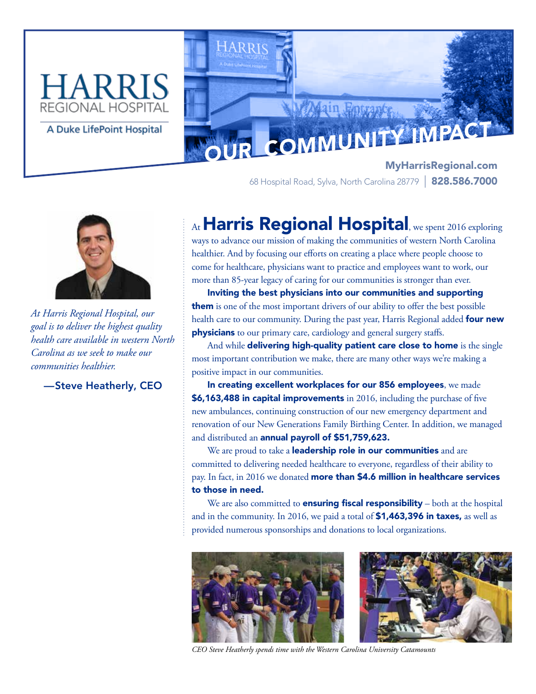# REGIONAL HOSPITAI



MyHarrisRegional.com 68 Hospital Road, Sylva, North Carolina 28779 | 828.586.7000



*At Harris Regional Hospital, our goal is to deliver the highest quality health care available in western North Carolina as we seek to make our communities healthier.* 

—Steve Heatherly, CEO

## At Harris Regional Hospital, we spent 2016 exploring

ways to advance our mission of making the communities of western North Carolina healthier. And by focusing our efforts on creating a place where people choose to come for healthcare, physicians want to practice and employees want to work, our more than 85-year legacy of caring for our communities is stronger than ever.

Inviting the best physicians into our communities and supporting them is one of the most important drivers of our ability to offer the best possible health care to our community. During the past year, Harris Regional added four new **physicians** to our primary care, cardiology and general surgery staffs.

And while delivering high-quality patient care close to home is the single most important contribution we make, there are many other ways we're making a positive impact in our communities.

In creating excellent workplaces for our 856 employees, we made \$6,163,488 in capital improvements in 2016, including the purchase of five new ambulances, continuing construction of our new emergency department and renovation of our New Generations Family Birthing Center. In addition, we managed and distributed an annual payroll of \$51,759,623.

We are proud to take a **leadership role in our communities** and are committed to delivering needed healthcare to everyone, regardless of their ability to pay. In fact, in 2016 we donated more than \$4.6 million in healthcare services to those in need.

We are also committed to **ensuring fiscal responsibility** – both at the hospital and in the community. In 2016, we paid a total of \$1,463,396 in taxes, as well as provided numerous sponsorships and donations to local organizations.



*CEO Steve Heatherly spends time with the Western Carolina University Catamounts*